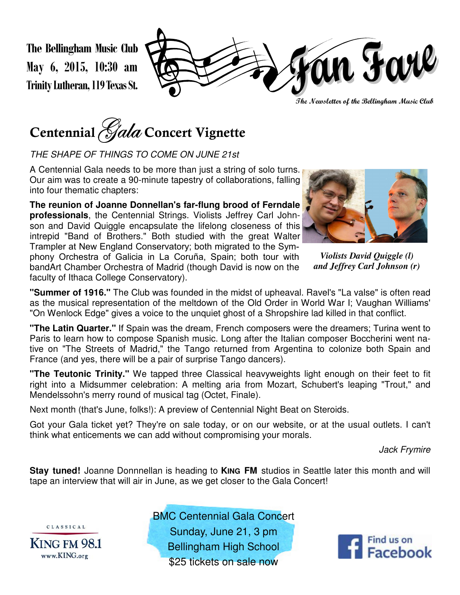**The Bellingham Music Club May 6, 2015, 10:30 am Trinity Lutheran, 119 Texas St.** 

án Farl

**The Newsletter of the Bellingham Music Club** 



THE SHAPE OF THINGS TO COME ON JUNE 21st

A Centennial Gala needs to be more than just a string of solo turns. Our aim was to create a 90-minute tapestry of collaborations, falling into four thematic chapters:

**The reunion of Joanne Donnellan's far-flung brood of Ferndale professionals**, the Centennial Strings. Violists Jeffrey Carl Johnson and David Quiggle encapsulate the lifelong closeness of this intrepid "Band of Brothers." Both studied with the great Walter Trampler at New England Conservatory; both migrated to the Symphony Orchestra of Galicia in La Coruña, Spain; both tour with bandArt Chamber Orchestra of Madrid (though David is now on the faculty of Ithaca College Conservatory).



*Violists David Quiggle (l) and Jeffrey Carl Johnson (r)*

**"Summer of 1916."** The Club was founded in the midst of upheaval. Ravel's "La valse" is often read as the musical representation of the meltdown of the Old Order in World War I; Vaughan Williams' "On Wenlock Edge" gives a voice to the unquiet ghost of a Shropshire lad killed in that conflict.

**"The Latin Quarter."** If Spain was the dream, French composers were the dreamers; Turina went to Paris to learn how to compose Spanish music. Long after the Italian composer Boccherini went native on "The Streets of Madrid," the Tango returned from Argentina to colonize both Spain and France (and yes, there will be a pair of surprise Tango dancers).

**"The Teutonic Trinity."** We tapped three Classical heavyweights light enough on their feet to fit right into a Midsummer celebration: A melting aria from Mozart, Schubert's leaping "Trout," and Mendelssohn's merry round of musical tag (Octet, Finale).

Next month (that's June, folks!): A preview of Centennial Night Beat on Steroids.

Got your Gala ticket yet? They're on sale today, or on our website, or at the usual outlets. I can't think what enticements we can add without compromising your morals.

Jack Frymire

**Stay tuned!** Joanne Donnnellan is heading to KING FM studios in Seattle later this month and will tape an interview that will air in June, as we get closer to the Gala Concert!



BMC Centennial Gala Concert Sunday, June 21, 3 pm Bellingham High School \$25 tickets on sale now

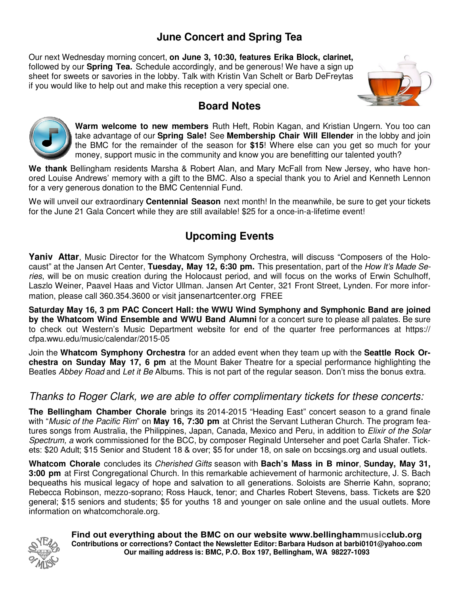## **June Concert and Spring Tea**

Our next Wednesday morning concert, **on June 3, 10:30, features Erika Block, clarinet,**  followed by our **Spring Tea.** Schedule accordingly, and be generous! We have a sign up sheet for sweets or savories in the lobby. Talk with Kristin Van Schelt or Barb DeFreytas if you would like to help out and make this reception a very special one.



#### **Board Notes**



**Warm welcome to new members** Ruth Heft, Robin Kagan, and Kristian Ungern. You too can take advantage of our **Spring Sale!** See **Membership Chair Will Ellender** in the lobby and join the BMC for the remainder of the season for **\$15**! Where else can you get so much for your money, support music in the community and know you are benefitting our talented youth?

**We thank** Bellingham residents Marsha & Robert Alan, and Mary McFall from New Jersey, who have honored Louise Andrews' memory with a gift to the BMC. Also a special thank you to Ariel and Kenneth Lennon for a very generous donation to the BMC Centennial Fund.

We will unveil our extraordinary **Centennial Season** next month! In the meanwhile, be sure to get your tickets for the June 21 Gala Concert while they are still available! \$25 for a once-in-a-lifetime event!

## **Upcoming Events**

**Yaniv Attar**, Music Director for the Whatcom Symphony Orchestra, will discuss "Composers of the Holocaust" at the Jansen Art Center, **Tuesday, May 12, 6:30 pm.** This presentation, part of the How It's Made Series, will be on music creation during the Holocaust period, and will focus on the works of Erwin Schulhoff, Laszlo Weiner, Paavel Haas and Victor Ullman. Jansen Art Center, 321 Front Street, Lynden. For more information, please call 360.354.3600 or visit jansenartcenter.org FREE

**Saturday May 16, 3 pm PAC Concert Hall: the WWU Wind Symphony and Symphonic Band are joined by the Whatcom Wind Ensemble and WWU Band Alumni** for a concert sure to please all palates. Be sure to check out Western's Music Department website for end of the quarter free performances at https:// cfpa.wwu.edu/music/calendar/2015-05

Join the **Whatcom Symphony Orchestra** for an added event when they team up with the **Seattle Rock Orchestra on Sunday May 17, 6 pm** at the Mount Baker Theatre for a special performance highlighting the Beatles Abbey Road and Let it Be Albums. This is not part of the regular season. Don't miss the bonus extra.

#### Thanks to Roger Clark, we are able to offer complimentary tickets for these concerts:

**The Bellingham Chamber Chorale** brings its 2014-2015 "Heading East" concert season to a grand finale with "Music of the Pacific Rim" on **May 16, 7:30 pm** at Christ the Servant Lutheran Church. The program features songs from Australia, the Philippines, Japan, Canada, Mexico and Peru, in addition to Elixir of the Solar Spectrum, a work commissioned for the BCC, by composer Reginald Unterseher and poet Carla Shafer. Tickets: \$20 Adult; \$15 Senior and Student 18 & over; \$5 for under 18, on sale on bccsings.org and usual outlets.

**Whatcom Chorale** concludes its Cherished Gifts season with **Bach's Mass in B minor**, **Sunday, May 31, 3:00 pm** at First Congregational Church. In this remarkable achievement of harmonic architecture, J. S. Bach bequeaths his musical legacy of hope and salvation to all generations. Soloists are Sherrie Kahn, soprano; Rebecca Robinson, mezzo-soprano; Ross Hauck, tenor; and Charles Robert Stevens, bass. Tickets are \$20 general; \$15 seniors and students; \$5 for youths 18 and younger on sale online and the usual outlets. More information on whatcomchorale.org.



**Find out everything about the BMC on our website www.bellinghammusicclub.org Contributions or corrections? Contact the Newsletter Editor: Barbara Hudson at barbi0101@yahoo.com Our mailing address is: BMC, P.O. Box 197, Bellingham, WA 98227-1093**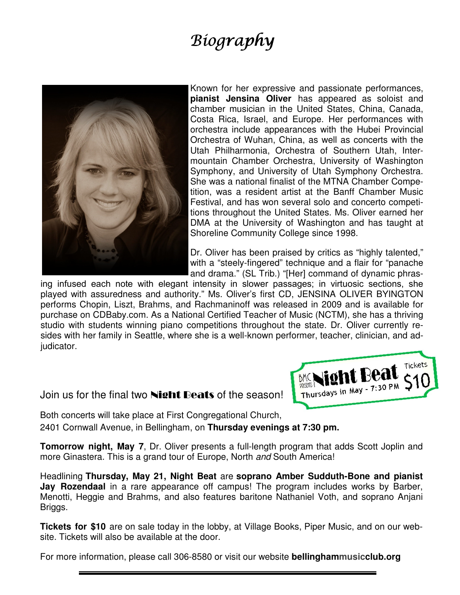# **Biography**



Known for her expressive and passionate performances, **pianist Jensina Oliver** has appeared as soloist and chamber musician in the United States, China, Canada, Costa Rica, Israel, and Europe. Her performances with orchestra include appearances with the Hubei Provincial Orchestra of Wuhan, China, as well as concerts with the Utah Philharmonia, Orchestra of Southern Utah, Intermountain Chamber Orchestra, University of Washington Symphony, and University of Utah Symphony Orchestra. She was a national finalist of the MTNA Chamber Competition, was a resident artist at the Banff Chamber Music Festival, and has won several solo and concerto competitions throughout the United States. Ms. Oliver earned her DMA at the University of Washington and has taught at Shoreline Community College since 1998.

Dr. Oliver has been praised by critics as "highly talented," with a "steely-fingered" technique and a flair for "panache and drama." (SL Trib.) "[Her] command of dynamic phras-

ing infused each note with elegant intensity in slower passages; in virtuosic sections, she played with assuredness and authority." Ms. Oliver's first CD, JENSINA OLIVER BYINGTON performs Chopin, Liszt, Brahms, and Rachmaninoff was released in 2009 and is available for purchase on CDBaby.com. As a National Certified Teacher of Music (NCTM), she has a thriving studio with students winning piano competitions throughout the state. Dr. Oliver currently resides with her family in Seattle, where she is a well-known performer, teacher, clinician, and adjudicator.

Join us for the final two **Night Beats** of the season!

Tickets **Night Beat Thursdays in May - 7:30 PM** 

Both concerts will take place at First Congregational Church, 2401 Cornwall Avenue, in Bellingham, on **Thursday evenings at 7:30 pm.** 

**Tomorrow night, May 7, Dr. Oliver presents a full-length program that adds Scott Joplin and** more Ginastera. This is a grand tour of Europe, North and South America!

Headlining **Thursday, May 21, Night Beat** are **soprano Amber Sudduth-Bone and pianist Jay Rozendaal** in a rare appearance off campus! The program includes works by Barber, Menotti, Heggie and Brahms, and also features baritone Nathaniel Voth, and soprano Anjani Briggs.

**Tickets for \$10** are on sale today in the lobby, at Village Books, Piper Music, and on our website. Tickets will also be available at the door.

For more information, please call 306-8580 or visit our website **bellinghammusicclub.org**